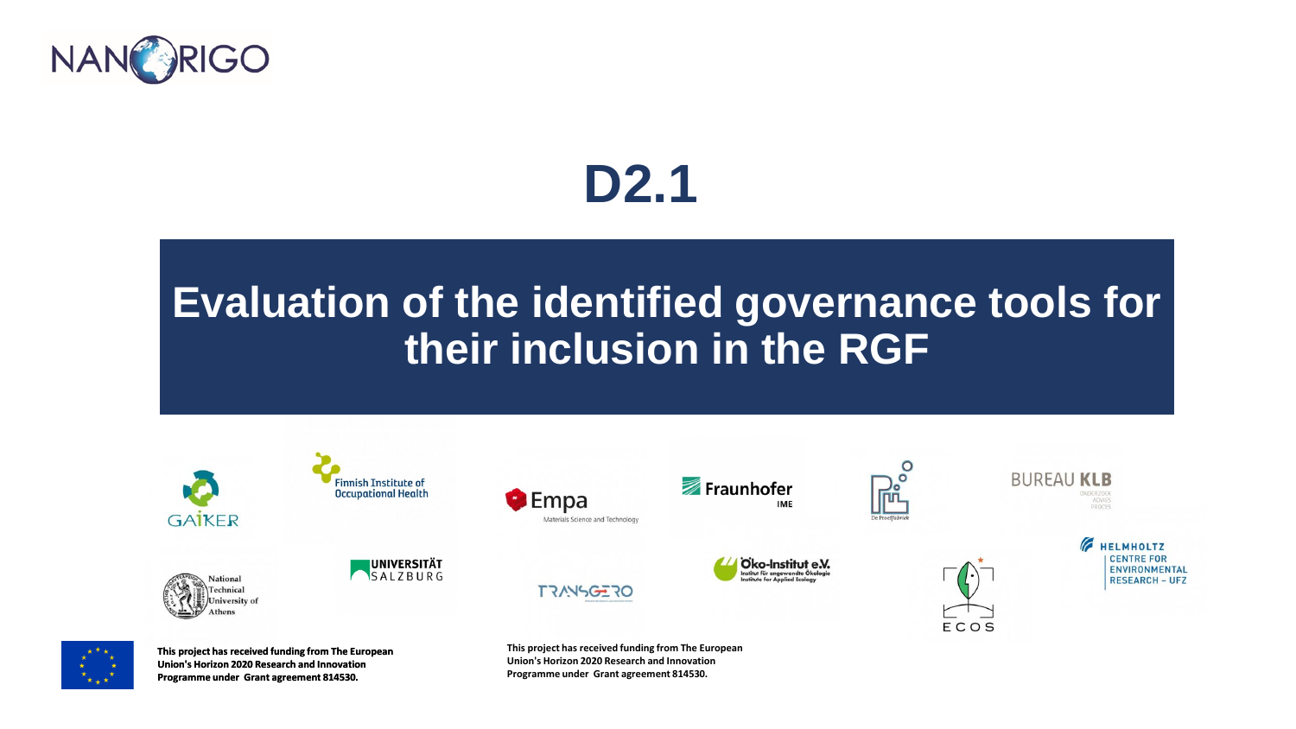

## **D2.1**

### **Evaluation of the identified governance tools for their inclusion in the RGF**





**Union's Horizon 2020 Research and Innovation Programme under Grant agreement 814530.**

**Union's Horizon 2020 Research and Innovation Programme under Grant agreement 814530.**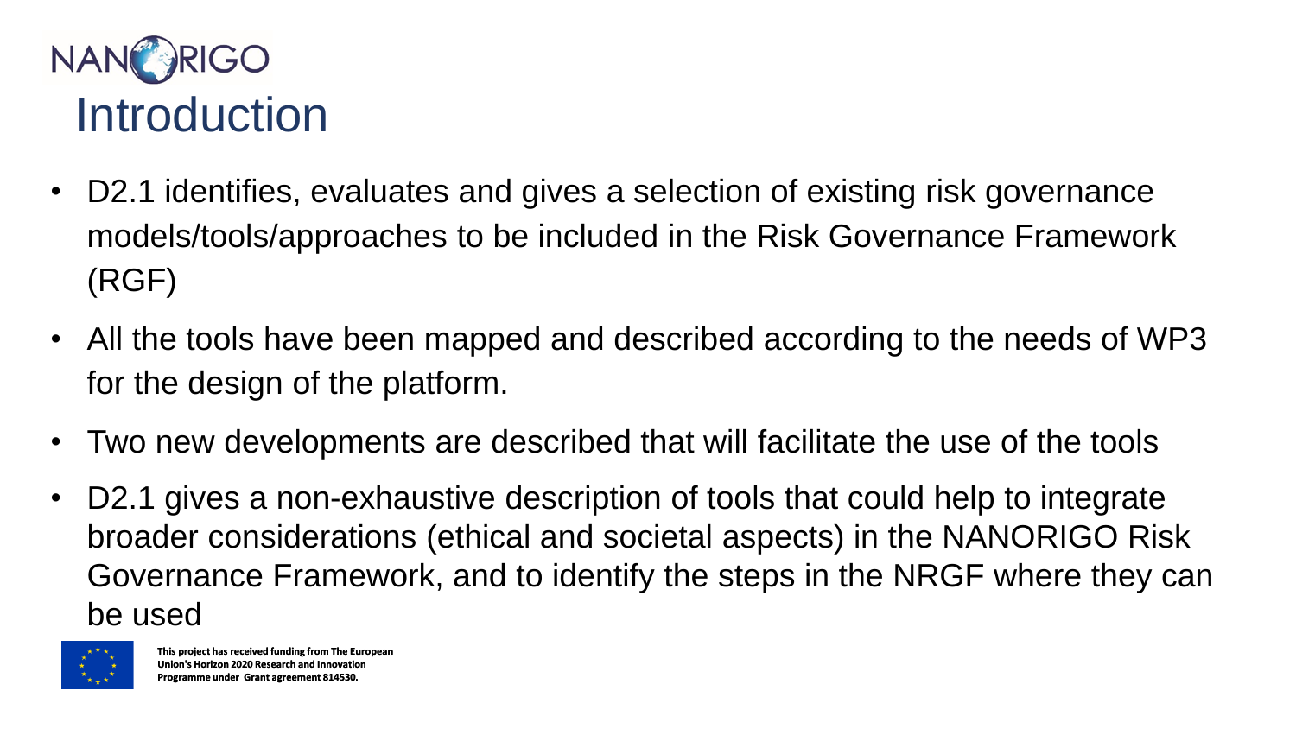

- D2.1 identifies, evaluates and gives a selection of existing risk governance models/tools/approaches to be included in the Risk Governance Framework (RGF)
- All the tools have been mapped and described according to the needs of WP3 for the design of the platform.
- Two new developments are described that will facilitate the use of the tools
- D2.1 gives a non-exhaustive description of tools that could help to integrate broader considerations (ethical and societal aspects) in the NANORIGO Risk Governance Framework, and to identify the steps in the NRGF where they can be used

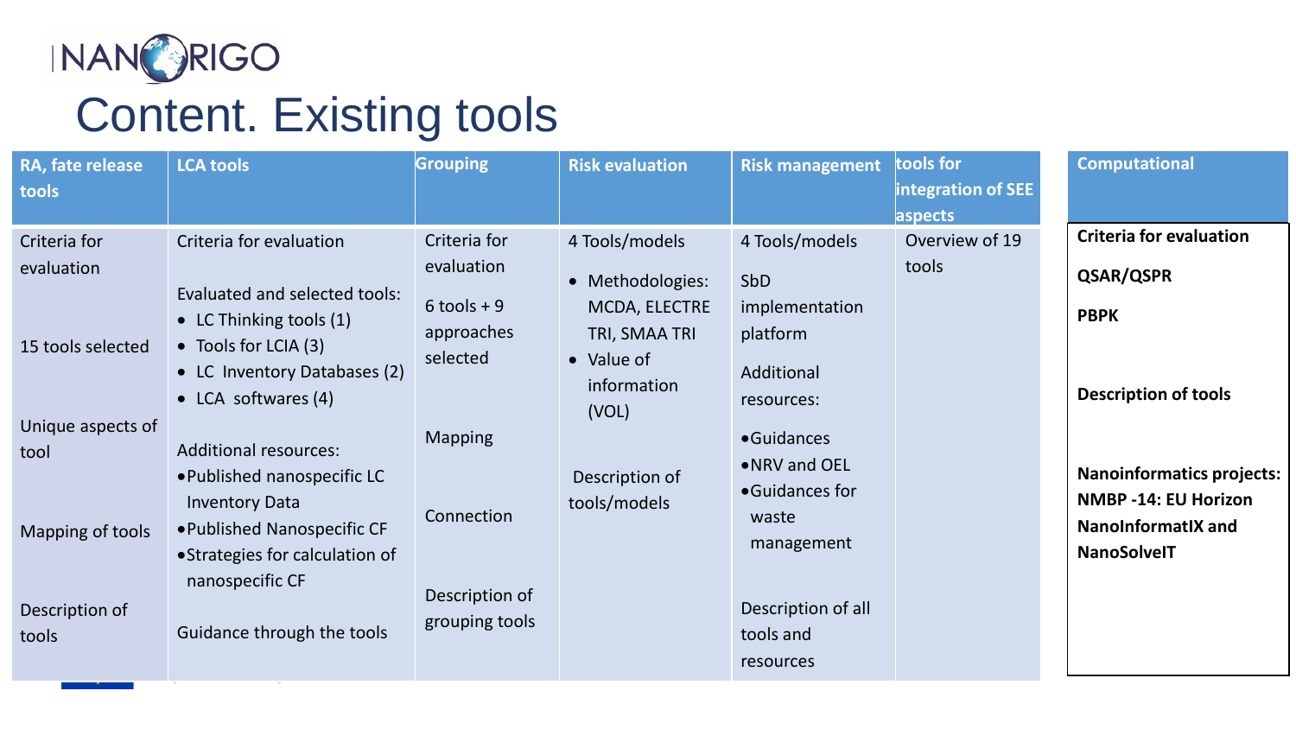

# Content. Existing tools

| RA, fate release<br>tools                                                                                                   | <b>LCA tools</b>                                                                                                                                                                                                                                                                                                                                                                      | <b>Grouping</b>                                                                                                                           | <b>Risk evaluation</b>                                                                                                                       | <b>Risk management</b>                                                                                                                                                                                         | tools for<br>integration of SEE<br>aspects | <b>Computational</b>                                                                                                                                                                                            |
|-----------------------------------------------------------------------------------------------------------------------------|---------------------------------------------------------------------------------------------------------------------------------------------------------------------------------------------------------------------------------------------------------------------------------------------------------------------------------------------------------------------------------------|-------------------------------------------------------------------------------------------------------------------------------------------|----------------------------------------------------------------------------------------------------------------------------------------------|----------------------------------------------------------------------------------------------------------------------------------------------------------------------------------------------------------------|--------------------------------------------|-----------------------------------------------------------------------------------------------------------------------------------------------------------------------------------------------------------------|
| Criteria for<br>evaluation<br>15 tools selected<br>Unique aspects of<br>tool<br>Mapping of tools<br>Description of<br>tools | Criteria for evaluation<br>Evaluated and selected tools:<br>• LC Thinking tools (1)<br>• Tools for LCIA (3)<br>• LC Inventory Databases (2)<br>$\bullet$ LCA softwares (4)<br><b>Additional resources:</b><br>. Published nanospecific LC<br><b>Inventory Data</b><br>• Published Nanospecific CF<br>• Strategies for calculation of<br>nanospecific CF<br>Guidance through the tools | Criteria for<br>evaluation<br>$6$ tools + 9<br>approaches<br>selected<br><b>Mapping</b><br>Connection<br>Description of<br>grouping tools | 4 Tools/models<br>• Methodologies:<br>MCDA, ELECTRE<br>TRI, SMAA TRI<br>• Value of<br>information<br>(VOL)<br>Description of<br>tools/models | 4 Tools/models<br><b>SbD</b><br>implementation<br>platform<br>Additional<br>resources:<br>•Guidances<br>• NRV and OEL<br>•Guidances for<br>waste<br>management<br>Description of all<br>tools and<br>resources | Overview of 19<br>tools                    | <b>Criteria for evaluation</b><br>QSAR/QSPR<br><b>PBPK</b><br><b>Description of tools</b><br><b>Nanoinformatics projects:</b><br><b>NMBP -14: EU Horizon</b><br><b>NanoInformatIX and</b><br><b>NanoSolveIT</b> |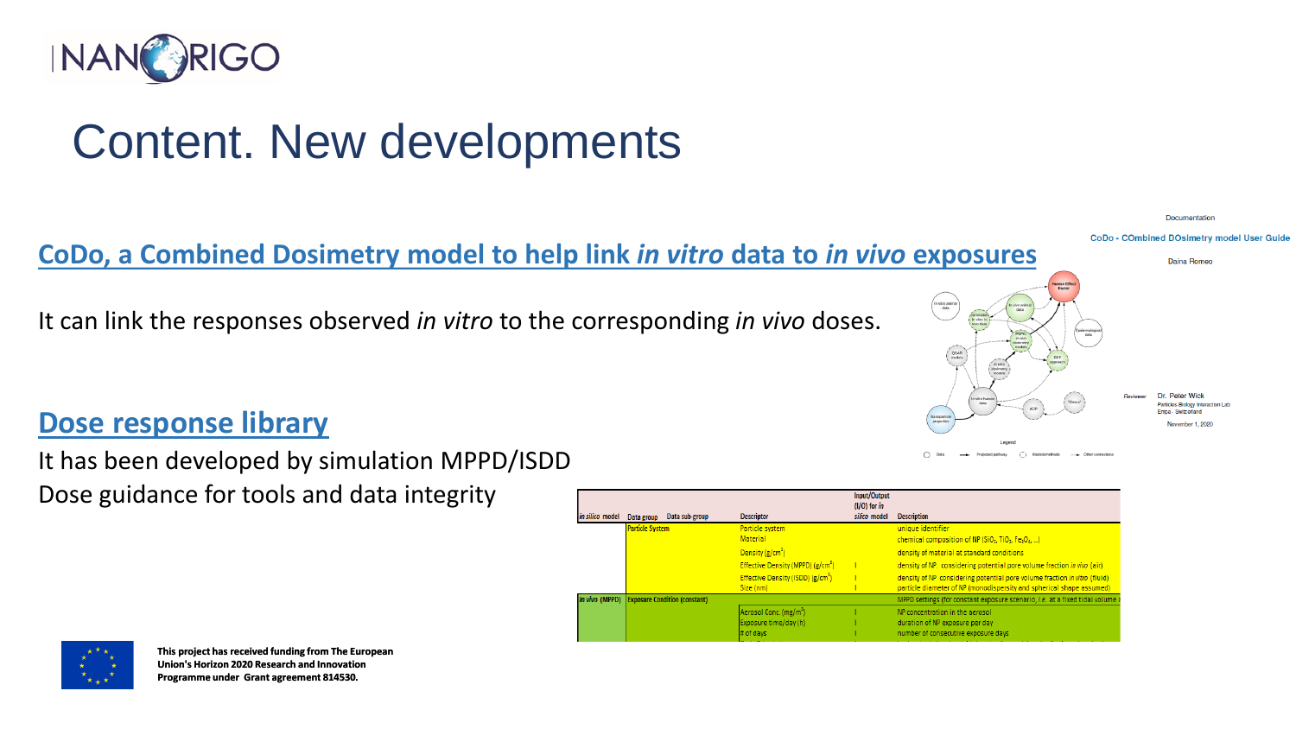

### Content. New developments

#### **CoDo, a Combined Dosimetry model to help link** *in vitro* **data to** *in vivo* **exposures.**

It can link the responses observed *in vitro* to the corresponding *in vivo* doses.

#### **Dose response library**

It has been developed by simulation MPPD/ISDD Dose guidance for tools and data integrity

|                 |                                              |                                                            | Input/Output<br>$(1/O)$ for in |                                                                                                                                                   |
|-----------------|----------------------------------------------|------------------------------------------------------------|--------------------------------|---------------------------------------------------------------------------------------------------------------------------------------------------|
| in silico model | Data sub-group<br>Data group                 | <b>Descriptor</b>                                          | silico model                   | <b>Description</b>                                                                                                                                |
|                 | <b>Particle System</b>                       | Particle system                                            |                                | unique identifier                                                                                                                                 |
|                 |                                              | <b>Material</b>                                            |                                | chemical composition of NP (SiO <sub>2</sub> , TiO <sub>2</sub> , Fe <sub>3</sub> O <sub>4</sub> , )                                              |
|                 |                                              | Density $(g/cm^3)$                                         |                                | density of material at standard conditions                                                                                                        |
|                 |                                              | Effective Density (MPPD) (g/cm <sup>3</sup> )              |                                | density of NP. considering potential pore volume fraction in vivo (air)                                                                           |
|                 |                                              | Effective Density (ISDD) (g/cm <sup>3</sup> )<br>Size (nm) |                                | density of NP considering potential pore volume fraction in vitro (fluid)<br>particle diameter of NP (monodispersity and spherical shape assumed) |
|                 | In vivo (MPPD) Exposure Condition (constant) |                                                            |                                | MPPD settings (for constant exposure scenario, <i>i.e.</i> at a fixed tidal volume a                                                              |
|                 |                                              | Aerosol Conc. (mg/m <sup>3</sup> )                         |                                | NP concentration in the aerosol                                                                                                                   |
|                 |                                              | Exposure time/day (h)                                      |                                | duration of NP exposure per day                                                                                                                   |
|                 |                                              | # of days                                                  |                                | number of consecutive exposure days                                                                                                               |



**This project has received funding from The European Union's Horizon 2020 Research and Innovation Programme under Grant agreement 814530.**